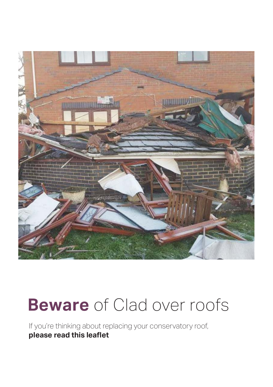

### **Beware** of Clad over roofs

If you're thinking about replacing your conservatory roof, **please read this leaflet**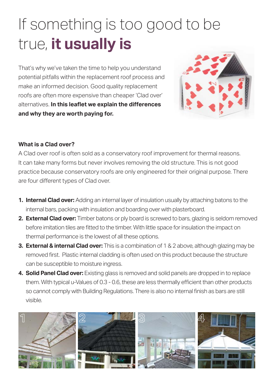### If something is too good to be true, **it usually is**

That's why we've taken the time to help you understand potential pitfalls within the replacement roof process and make an informed decision. Good quality replacement roofs are often more expensive than cheaper 'Clad over' alternatives. In this leaflet we explain the differences **and why they are worth paying for.**



#### **What is a Clad over?**

A Clad over roof is often sold as a conservatory roof improvement for thermal reasons. It can take many forms but never involves removing the old structure. This is not good practice because conservatory roofs are only engineered for their original purpose. There are four different types of Clad over.

- **1. Internal Clad over:** Adding an internal layer of insulation usually by attaching batons to the internal bars, packing with insulation and boarding over with plasterboard.
- **2. External Clad over:** Timber batons or ply board is screwed to bars, glazing is seldom removed before imitation tiles are fitted to the timber. With little space for insulation the impact on thermal performance is the lowest of all these options.
- **3. External & internal Clad over:** This is a combination of 1 & 2 above, although glazing may be removed first. Plastic internal cladding is often used on this product because the structure can be susceptible to moisture ingress.
- **4. Solid Panel Clad over:** Existing glass is removed and solid panels are dropped in to replace them. With typical u-Values of 0.3 - 0.6, these are less thermally efficient than other products so cannot comply with Building Regulations. There is also no internal finish as bars are still visible.

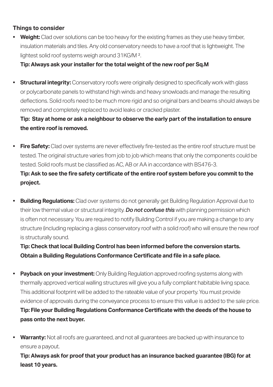#### **Things to consider**

**• Weight:** Clad over solutions can be too heavy for the existing frames as they use heavy timber, insulation materials and tiles. Any old conservatory needs to have a roof that is lightweight. The lightest solid roof systems weigh around 31KG/M ².

 **Tip: Always ask your installer for the total weight of the new roof per Sq.M**

• **Structural integrity:** Conservatory roofs were originally designed to specifically work with glass or polycarbonate panels to withstand high winds and heavy snowloads and manage the resulting deflections. Solid roofs need to be much more rigid and so original bars and beams should always be removed and completely replaced to avoid leaks or cracked plaster.

 **Tip: Stay at home or ask a neighbour to observe the early part of the installation to ensure the entire roof is removed.**

• Fire Safety: Clad over systems are never effectively fire-tested as the entire roof structure must be tested. The original structure varies from job to job which means that only the components could be tested. Solid roofs must be classified as AC. AB or AA in accordance with BS476-3.  **Tip: Ask to see the fi re safety certifi cate of the entire roof system before you commit to the** 

**project.** 

**• Building Requlations:** Clad over systems do not generally get Building Requlation Approval due to their low thermal value or structural integrity. *Do not confuse this* with planning permission which is often not necessary. You are required to notify Building Control if you are making a change to any structure (including replacing a glass conservatory roof with a solid roof) who will ensure the new roof is structurally sound.

 **Tip: Check that local Building Control has been informed before the conversion starts. Obtain a Building Regulations Conformance Certifi cate and fi le in a safe place.**

- Payback on your investment: Only Building Regulation approved roofing systems along with thermally approved vertical walling structures will give you a fully compliant habitable living space. This additional footprint will be added to the rateable value of your property. You must provide evidence of approvals during the conveyance process to ensure this vallue is added to the sale price.  **Tip: File your Building Regulations Conformance Certifi cate with the deeds of the house to pass onto the next buyer.**
- **Warranty:** Not all roofs are guaranteed, and not all guarantees are backed up with insurance to ensure a payout.

 **Tip: Always ask for proof that your product has an insurance backed guarantee (IBG) for at least 10 years.**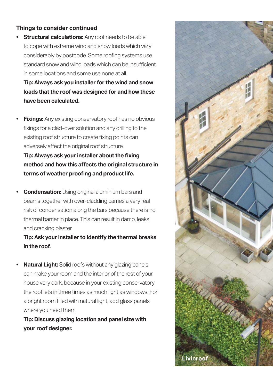#### **Things to consider continued**

**Structural calculations:** Any roof needs to be able to cope with extreme wind and snow loads which vary considerably by postcode. Some roofing systems use standard snow and wind loads which can be insufficient in some locations and some use none at all.

 **Tip: Always ask you installer for the wind and snow loads that the roof was designed for and how these have been calculated.**

**Fixings:** Any existing conservatory roof has no obvious fixings for a clad-over solution and any drilling to the existing roof structure to create fixing points can adversely affect the original roof structure.  **Tip: Always ask your installer about the fixing** 

**method and how this aff ects the original structure in**  terms of weather proofing and product life.

**• Condensation:** Using original aluminium bars and beams together with over-cladding carries a very real risk of condensation along the bars because there is no thermal barrier in place. This can result in damp, leaks and cracking plaster.

#### **Tip: Ask your installer to identify the thermal breaks in the roof.**

**• Natural Light:** Solid roofs without any glazing panels can make your room and the interior of the rest of your house very dark, because in your existing conservatory the roof lets in three times as much light as windows. For a bright room filled with natural light, add glass panels where you need them.

 **Tip: Discuss glazing location and panel size with your roof designer.**

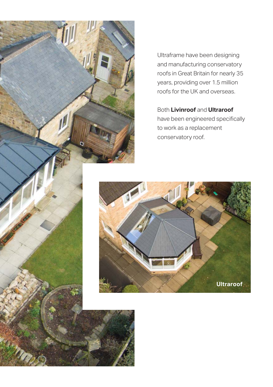

Ultraframe have been designing and manufacturing conservatory roofs in Great Britain for nearly 35 years, providing over 1.5 million roofs for the UK and overseas.

#### Both **Livinroof** and **Ultraroof**

have been engineered specifically to work as a replacement conservatory roof.

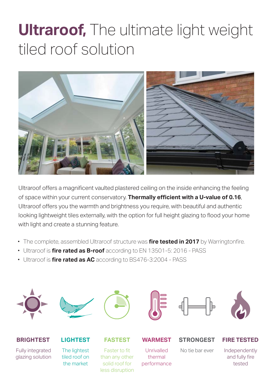### **Ultraroof,** The ultimate light weight tiled roof solution



Ultraroof offers a magnificent vaulted plastered ceiling on the inside enhancing the feeling of space within your current conservatory. **Thermally effi cient with a U-value of 0.16**, Ultraroof offers you the warmth and brightness you require, with beautiful and authentic looking lightweight tiles externally, with the option for full height glazing to flood your home with light and create a stunning feature.

- The complete, assembled Ultraroof structure was *fire tested in 2017* by Warringtonfire.
- Ultraroof is **fire rated as B-roof** according to EN 13501-5: 2016 PASS
- Ultraroof is **fire rated as AC** according to BS476-3:2004 PASS













#### **BRIGHTEST**

Fully integrated glazing solution

### **LIGHTEST**

The lightest tiled roof on the market

#### **FASTEST**

Faster to fit than any other solid roof for less disruption

#### **WARMEST**

Unrivalled thermal performance

#### **STRONGEST**

No tie bar ever

#### **FIRE TESTED**

Independently and fully fire tested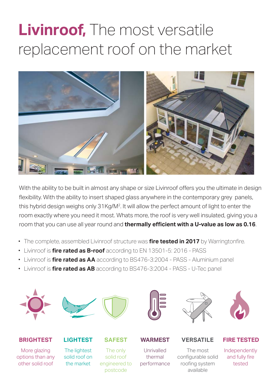## **Livinroof,** The most versatile replacement roof on the market



With the ability to be built in almost any shape or size Livinroof offers you the ultimate in design flexibility. With the ability to insert shaped glass anywhere in the contemporary grey panels, this hybrid design weighs only 31Kg/M2. It will allow the perfect amount of light to enter the room exactly where you need it most. Whats more, the roof is very well insulated, giving you a room that you can use all year round and **thermally efficient with a U-value as low as 0.16**.

- The complete, assembled Livinroof structure was *fire tested in 2017* by Warringtonfire.
- Livinroof is **fire rated as B-roof** according to EN 13501-5: 2016 PASS
- Livinroof is **fire rated as AA** according to BS476-3:2004 PASS Aluminium panel
- Livinroof is *fire rated as AB* according to BS476-3:2004 PASS U-Tec panel













#### **BRIGHTEST**

More glazing options than any other solid roof

#### **LIGHTEST**

The lightest solid roof on the market

### **SAFEST**

The only solid roof engineered to postcode

#### **WARMEST**

Unrivalled thermal performance

#### **VERSATILE**

The most configurable solid roofing system

available

#### **FIRE TESTED**

Independently and fully fire tested